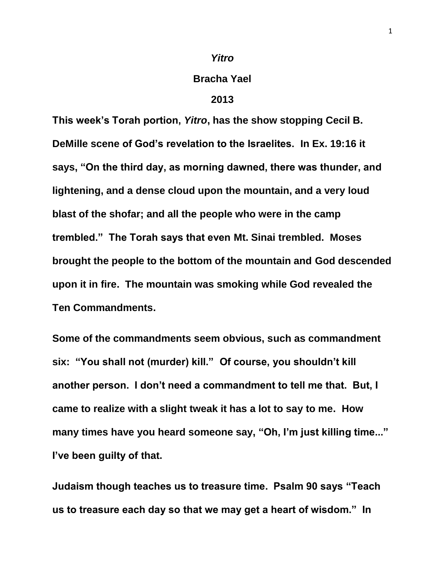## *Yitro*

## **Bracha Yael**

## **2013**

**This week's Torah portion,** *Yitro***, has the show stopping Cecil B. DeMille scene of God's revelation to the Israelites. In Ex. 19:16 it says, "On the third day, as morning dawned, there was thunder, and lightening, and a dense cloud upon the mountain, and a very loud blast of the shofar; and all the people who were in the camp trembled." The Torah says that even Mt. Sinai trembled. Moses brought the people to the bottom of the mountain and God descended upon it in fire. The mountain was smoking while God revealed the Ten Commandments.** 

**Some of the commandments seem obvious, such as commandment six: "You shall not (murder) kill." Of course, you shouldn't kill another person. I don't need a commandment to tell me that. But, I came to realize with a slight tweak it has a lot to say to me. How many times have you heard someone say, "Oh, I'm just killing time..." I've been guilty of that.**

**Judaism though teaches us to treasure time. Psalm 90 says "Teach us to treasure each day so that we may get a heart of wisdom." In**